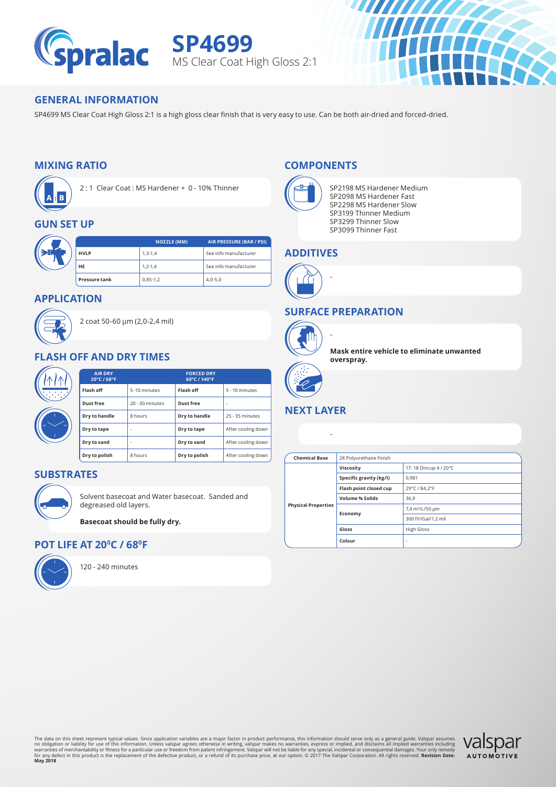

**SP4699** MS Clear Coat High Gloss 2:1



#### **GENERAL INFORMATION**

SP4699 MS Clear Coat High Gloss 2:1 is a high gloss clear finish that is very easy to use. Can be both air-dried and forced-dried.

### **MIXING RATIO**



2 : 1 Clear Coat : MS Hardener + 0 - 10% Thinner

#### **GUN SET UP**

|  |                      | <b>NOZZLE (MM)</b> | AIR PRESSURE (BAR / PSI) |
|--|----------------------|--------------------|--------------------------|
|  | <b>HVLP</b>          | $1, 3 - 1, 4$      | See info manufacturer    |
|  | <b>HE</b>            | $1, 2 - 1, 4$      | See info manufacturer    |
|  | <b>Pressure tank</b> | $0,85-1,2$         | $4,0-5,0$                |

#### **APPLICATION**



2 coat 50-60 μm (2,0-2,4 mil)

#### **FLASH OFF AND DRY TIMES**

|               | <b>AIR DRY</b><br>20°C / 68°F | <b>FORCED DRY</b><br>60°C / 140°F |               |                    |
|---------------|-------------------------------|-----------------------------------|---------------|--------------------|
| Flash off     |                               | 5-10 minutes                      | Flash off     | 5 - 10 minutes     |
| Dust free     |                               | 20 - 30 minutes                   | Dust free     | ٠.                 |
| Dry to handle |                               | 8 hours                           | Dry to handle | 25 - 35 minutes    |
| Dry to tape   | ۰                             |                                   | Dry to tape   | After cooling down |
| Dry to sand   | ۰                             |                                   | Dry to sand   | After cooling down |
| Dry to polish |                               | 8 hours                           | Dry to polish | After cooling down |

#### **SUBSTRATES**



Solvent basecoat and Water basecoat. Sanded and degreased old layers.

**Basecoat should be fully dry.**

#### **POT LIFE AT 200C / 680F**



120 - 240 minutes

#### **COMPONENTS**



SP2198 MS Hardener Medium SP2098 MS Hardener Fast SP2298 MS Hardener Slow SP3199 Thinner Medium SP3299 Thinner Slow SP3099 Thinner Fast

#### **ADDITIVES**



#### **SURFACE PREPARATION**

-

-



**Mask entire vehicle to eliminate unwanted overspray.**

# **NEXT LAYER**

#### **Chemical Base** 2K Polyurethane Finish **Physical Properties Viscosity** 17- 18 Dincup 4 / 20°C **Specific gravity (kg/l)** 0,981 **Flash point closed cup** 29°C / 84,2°F **Volume % Solids** 36.9 **Economy** 7,4 m²/L/50 μm 300 ft²/Gal/1,2 mil **Gloss** High Gloss **Colour** - -

The data on this sheet represent typical values. Since application variables are a major factor in product performance, this information should serve only as a general guide, Valspar assumes<br>no obligation or liablity for u